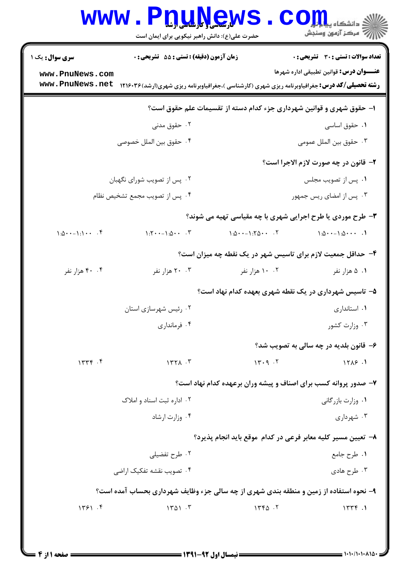|                                                    |                                                  | حضرت علی(ع): دانش راهبر نیکویی برای ایمان است          |        | 7' مرڪز آزمون وسنڊش                                                                                    |
|----------------------------------------------------|--------------------------------------------------|--------------------------------------------------------|--------|--------------------------------------------------------------------------------------------------------|
| سری سوال : یک ۱                                    | <b>زمان آزمون (دقیقه) : تستی : 55 تشریحی : 0</b> |                                                        |        | تعداد سوالات : تستى : 30 قشريحى : 0                                                                    |
| www.PnuNews.com                                    |                                                  |                                                        |        | <b>عنـــوان درس:</b> قوانین تطبیقی اداره شهرها                                                         |
| www.PnuNews.net                                    |                                                  |                                                        |        | <b>رشته تحصیلی/کد درس:</b> جغرافیاوبرنامه ریزی شهری (کارشناسی )،جغرافیاوبرنامه ریزی شهری(ارشد) ۱۲۱۶۰۳۶ |
|                                                    |                                                  |                                                        |        | ا- حقوق شهری و قوانین شهرداری جزء کدام دسته از تقسیمات علم حقوق است؟                                   |
|                                                    | ۰۲ حقوق مدنی                                     |                                                        |        | ۰۱ حقوق اساسی                                                                                          |
|                                                    | ۰۴ حقوق بين الملل خصوصي                          |                                                        |        | ٠٣ حقوق بين الملل عمومي                                                                                |
|                                                    |                                                  |                                                        |        | ۲- قانون در چه صورت لازم الاجرا است؟                                                                   |
|                                                    | ۰۲ پس از تصویب شورای نگهبان                      |                                                        |        | ٠١. پس از تصويب مجلس                                                                                   |
|                                                    | ۰۴ پس از تصویب مجمع تشخیص نظام                   |                                                        |        | ۰۳ پس از امضای ریس جمهور                                                                               |
|                                                    |                                                  |                                                        |        | ۳- طرح موردی یا طرح اجرایی شهری با چه مقیاسی تهیه می شوند؟                                             |
| $1:\Delta \cdot \cdot - \cdot : \cdot \cdot \cdot$ | $1:5 \cdot \cdot -1:0 \cdot \cdot \cdot .5$      | $1:\Delta \cdot \cdot -1:7\Delta \cdot \cdot \cdot .7$ |        | $1:\Delta \cdot \cdot -1:\Delta \cdot \cdot \cdot$ .                                                   |
|                                                    |                                                  |                                                        |        | ۴- حداقل جمعیت لازم برای تاسیس شهر در یک نقطه چه میزان است؟                                            |
| ۴۰ ۴۰ هزار نفر                                     | ۰۰ ۲۰ هزار نفر                                   | ۰۰ ۱۰ هزار نفر                                         |        | ۰۱ ۵ هزار نفر                                                                                          |
|                                                    |                                                  |                                                        |        | ۵– تاسیس شهرداری در یک نقطه شهری بعهده کدام نهاد است؟                                                  |
|                                                    | ۰۲ رئیس شهرسازی استان                            |                                                        |        | ۰۱ استانداری                                                                                           |
|                                                    | ۰۴ فرمانداری                                     |                                                        |        | ۰۳ وزارت کشور                                                                                          |
|                                                    |                                                  |                                                        |        | ۶- قانون بلديه در چه سالي به تصويب شد؟                                                                 |
| 15.44                                              | 1571.7                                           |                                                        | 14.9.7 | 1515.1                                                                                                 |
|                                                    |                                                  |                                                        |        | ۷- صدور پروانه کسب برای اصناف و پیشه وران برعهده کدام نهاد است؟                                        |
|                                                    | ۰۲ اداره ثبت اسناد و املاک                       |                                                        |        | ۰۱ وزارت بازرگانی                                                                                      |
|                                                    | ۰۴ وزارت ارشاد                                   |                                                        |        | ۰۳ شهرداری                                                                                             |
|                                                    |                                                  |                                                        |        | ۸– تعیین مسیر کلیه معابر فرعی در کدام موقع باید انجام پذیرد؟                                           |
|                                                    | ۰۲ طرح تفضیلی                                    |                                                        |        | ٠١ طرح جامع                                                                                            |
|                                                    | ۰۴ تصویب نقشه تفکیک اراضی                        |                                                        |        | ۰۳ طرح هادی                                                                                            |
|                                                    |                                                  |                                                        |        | ۹- نحوه استفاده از زمین و منطقه بندی شهری از چه سالی جزء وظایف شهرداری بحساب آمده است؟                 |
| 1591.5                                             | 1401.7                                           |                                                        | 1440.7 | 1779.1                                                                                                 |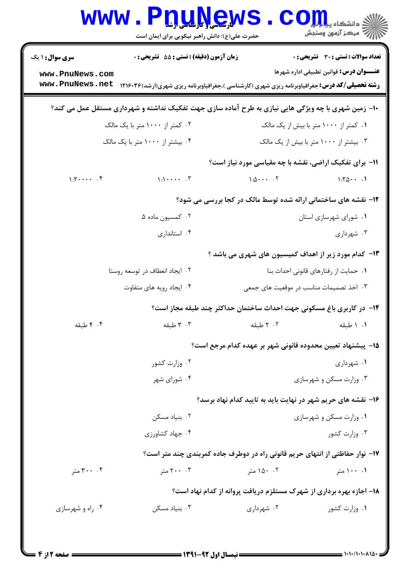|                                    | <b>www.P<u>nune</u>ws</b><br>حضرت علی(ع): دانش راهبر نیکویی برای ایمان است                             |                                                            | ڪ دانشڪاه پي <mark>ا ب</mark> ا ر <mark>ا.</mark><br>ا∛ مرڪز آزمون وسنڊش |
|------------------------------------|--------------------------------------------------------------------------------------------------------|------------------------------------------------------------|--------------------------------------------------------------------------|
| <b>سری سوال : ۱ یک</b>             | زمان آزمون (دقیقه) : تستی : 55 تشریحی : 0                                                              |                                                            | <b>تعداد سوالات : تستی : 30 ٪ تشریحی : 0</b>                             |
| www.PnuNews.com<br>www.PnuNews.net | <b>رشته تحصیلی/کد درس:</b> جغرافیاوبرنامه ریزی شهری (کارشناسی )،جغرافیاوبرنامه ریزی شهری(ارشد) ۱۲۱۶۰۳۶ |                                                            | عنـــوان درس: قوانین تطبیقی اداره شهرها                                  |
|                                    | +۱- زمین شهری با چه ویژگی هایی نیازی به طرح آماده سازی جهت تفکیک نداشته و شهرداری مستقل عمل می کند؟    |                                                            |                                                                          |
|                                    | ۰۲ کمتر از ۱۰۰۰ متر با یک مالک                                                                         |                                                            | ۰۱ کمتر از ۱۰۰۰ متر با بیش از یک مالک                                    |
|                                    | ۰۴ بیشتر از ۱۰۰۰ متر با یک مالک                                                                        |                                                            | ۰۳ بیشتر از ۱۰۰۰ متر با بیش از یک مالک                                   |
|                                    |                                                                                                        |                                                            | <b>۱۱- برای تفکیک اراضی، نقشه با چه مقیاسی مورد نیاز است؟</b>            |
| $1:5$ . f                          | $\uparrow$ . $\uparrow$ . $\uparrow$ . $\uparrow$                                                      | $\lambda:\Delta \cdot \cdot \cdot \cdot \cdot$ . T         | 1:701                                                                    |
|                                    |                                                                                                        |                                                            | ۱۲- نقشه های ساختمانی ارائه شده توسط مالک در کجا بررسی می شود؟           |
|                                    | ۰۲ کمسیون ماده ۵                                                                                       |                                                            | ۰۱ شورای شهرسازی استان                                                   |
|                                    | ۰۴ استانداری                                                                                           |                                                            | ۰۳ شهرداری                                                               |
|                                    |                                                                                                        |                                                            | ۱۳- کدام مورد زیر از اهداف کمیسیون های شهری می باشد ؟                    |
|                                    | ۰۲ ایجاد انعطاف در توسعه روستا                                                                         |                                                            | ٠١ حمايت از رفتارهاي قانوني احداث بنا                                    |
|                                    | ۰۴ ایجاد رویه های متفاوت                                                                               |                                                            | ۰۳ اخذ تصمیمات مناسب در موقعیت های جمعی                                  |
|                                    | ۱۴– در کاربری باغ مسکونی جهت احداث ساختمان حداکثر چند طبقه مجاز است؟                                   |                                                            |                                                                          |
| ۰۴ طبقه                            | ۰۳ طبقه                                                                                                | ٢. ٢ طبقه                                                  | ١. ١ طبقه                                                                |
|                                    |                                                                                                        | 1۵– پیشنهاد تعیین محدوده قانونی شهر بر عهده کدام مرجع است؟ |                                                                          |
|                                    | ۰۲ وزارت کشور                                                                                          |                                                            | ۰۱ شهرداری                                                               |
|                                    | ۰۴ شورای شهر                                                                                           |                                                            | ۰۳ وزارت مسکن و شهرسازی                                                  |
|                                    |                                                                                                        |                                                            | ۱۶– نقشه های حریم شهر در نهایت باید به تایید کدام نهاد برسد؟             |
|                                    | ۰۲ بنیاد مسکن                                                                                          |                                                            | ۰۱ وزارت مسکن و شهرسازی                                                  |
|                                    | ۰۴ جهاد کشاورزی                                                                                        |                                                            | ۰۳ وزارت کشور                                                            |
|                                    | ۱۷- نوار حفاظتی از انتهای حریم قانونی راه در دوطرف جاده کمربندی چند متر است؟                           |                                                            |                                                                          |
| ۰۰ ۳۰۰ متر                         | ۲۰۰ متر                                                                                                | ۰۲ ۱۵۰ متر                                                 | ۰۰ ۱۰۰ متر                                                               |
|                                    |                                                                                                        |                                                            | ۱۸- اجازه بهره برداری از شهرک مستلزم دریافت پروانه از کدام نهاد است؟     |
| ۰۴ راه و شهرسازی                   | بنیاد مسکن $\cdot$ ۳                                                                                   | ۰۲ شهرداری                                                 | ۰۱ وزارت کشور                                                            |
|                                    |                                                                                                        |                                                            |                                                                          |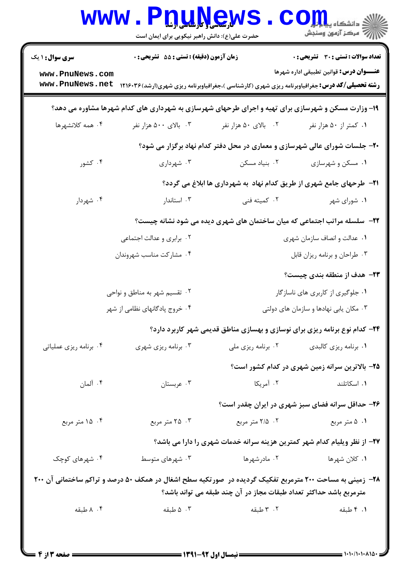| <b>سری سوال : ۱ یک</b>        | <b>زمان آزمون (دقیقه) : تستی : 55 تشریحی : 0</b>                                                                  |                                                                             | <b>تعداد سوالات : تستي : 30 ٪ تشريحي : 0</b>                                       |
|-------------------------------|-------------------------------------------------------------------------------------------------------------------|-----------------------------------------------------------------------------|------------------------------------------------------------------------------------|
| www.PnuNews.com               |                                                                                                                   |                                                                             | عنـــوان درس: قوانین تطبیقی اداره شهرها                                            |
| www.PnuNews.net               | <b>رشته تحصیلی/کد درس:</b> جغرافیاوبرنامه ریزی شهری (کارشناسی )،جغرافیاوبرنامه ریزی شهری(ارشد) ۱۲۱۶۰۳۶            |                                                                             |                                                                                    |
|                               | ۱۹- وزارت مسکن و شهرسازی برای تهیه و اجرای طرحهای شهرسازی به شهرداری های کدام شهرها مشاوره می دهد؟                |                                                                             |                                                                                    |
| ۰۴ همه کلانشهرها              | ۰۳ بالای ۵۰۰ هزار نفر                                                                                             | ۰۲ بالای ۵۰ هزار نفر                                                        | ۰۱ كمتر از ۵۰ هزار نفر                                                             |
|                               |                                                                                                                   | ۲۰- جلسات شورای عالی شهرسازی و معماری در محل دفتر کدام نهاد برگزار می شود؟  |                                                                                    |
| ۰۴ کشور                       | ۰۳ شهرداری                                                                                                        | ۰۲ بنیاد مسکن                                                               | ۰۱ مسکن و شهرسازی                                                                  |
|                               |                                                                                                                   | <b>۲۱</b> - طرحهای جامع شهری از طریق کدام نهاد به شهرداری ها ابلاغ می گردد؟ |                                                                                    |
| ۰۴ شهردار                     | ۰۳ استاندار                                                                                                       | ۰۲ کمیته فنی                                                                | ۰۱ شورای شهر                                                                       |
|                               |                                                                                                                   |                                                                             | <b>۲۲</b> - سلسله مراتب اجتماعی که میان ساختمان های شهری دیده می شود نشانه چیست؟   |
| ۰۲ برابری و عدالت اجتماعی     |                                                                                                                   | ٠١ عدالت و انصاف سازمان شهري                                                |                                                                                    |
|                               | ۰۴ مشاركت مناسب شهروندان                                                                                          |                                                                             | ۰۳ طراحان و برنامه ریزان قابل                                                      |
|                               |                                                                                                                   |                                                                             | <b>۲۳</b> - هدف از منطقه بندی چیست؟                                                |
| ۰۲ تقسیم شهر به مناطق و نواحی |                                                                                                                   | ۰۱ جلوگیری از کاربری های ناسازگار                                           |                                                                                    |
|                               | ۰۴ خروج پادگانهای نظامی از شهر<br>۰۳ مکان یابی نهادها و سازمان های دولتی                                          |                                                                             |                                                                                    |
|                               |                                                                                                                   |                                                                             | <b>۲۴</b> - کدام نوع برنامه ریزی برای نوسازی و بهسازی مناطق قدیمی شهر کاربرد دارد؟ |
| ۰۴ برنامه ریزی عملیاتی        | ۰۳ برنامه ریزی شهری                                                                                               | ۰۲ برنامه ریزی ملی                                                          | ۰۱ برنامه ریزی کالبدی                                                              |
|                               |                                                                                                                   |                                                                             | ۲۵- بالاترین سرانه زمین شهری در کدام کشور است؟                                     |
| ۰۴ آلمان                      | ۰۳ عربستان                                                                                                        | ۰۲ آمریکا                                                                   | ۰۱ اسکاتلند                                                                        |
|                               |                                                                                                                   |                                                                             | ۲۶- حداقل سرانه فضای سبز شهری در ایران چقدر است؟                                   |
| ۰۴ ۱۵ متر مربع                | ۰۳ متر مربع                                                                                                       | ۰۲ ه.تر مربع                                                                | ۰۱ ۵ متر مربع                                                                      |
|                               |                                                                                                                   |                                                                             | ۲۷- از نظر ویلیام کدام شهر کمترین هزینه سرانه خدمات شهری را دارا می باشد؟          |
| ۰۴ شهرهای کوچک                | ۰۳ شهرهای متوسط                                                                                                   | ۰۲ مادرشهرها                                                                | ۰۱ کلان شهرها                                                                      |
|                               | <b>۲۸</b> - زمینی به مساحت ۲۰۰ مترمربع تفکیک گردیده در  صورتکیه سطح اشغال در همکف ۵۰ درصد و تراکم ساختمانی آن ۲۰۰ | مترمربع باشد حداکثر تعداد طبقات مجاز در آن چند طبقه می تواند باشد؟          |                                                                                    |
| ۰۴ ملبقه                      | ۰۳ طبقه                                                                                                           | ۰۲ طبقه                                                                     | ٠١. ۴ طبقه                                                                         |